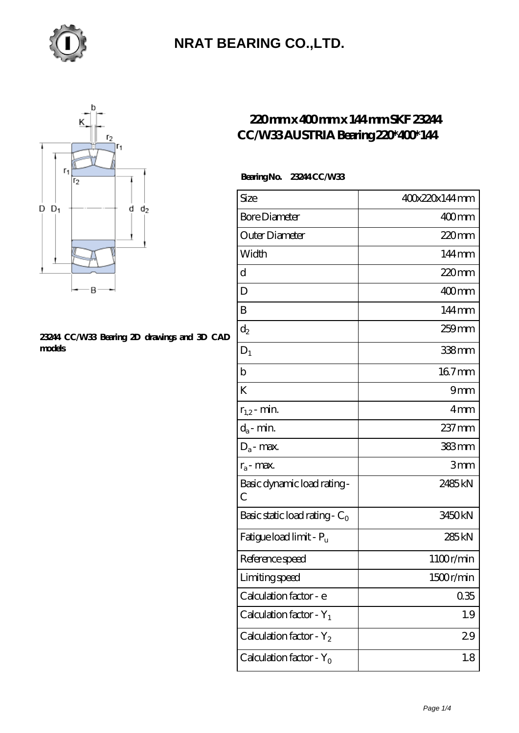



#### **[23244 CC/W33 Bearing 2D drawings and 3D CAD](https://distrivelez.com/pic-309303.html) [models](https://distrivelez.com/pic-309303.html)**

#### **[220 mm x 400 mm x 144 mm SKF 23244](https://distrivelez.com/bj-309303-skf-23244-cc-w33-austria-bearing-220-400-144.html) [CC/W33 AUSTRIA Bearing 220\\*400\\*144](https://distrivelez.com/bj-309303-skf-23244-cc-w33-austria-bearing-220-400-144.html)**

 **Bearing No. 23244 CC/W33**

| Size                                | 400x220x144mm       |
|-------------------------------------|---------------------|
| <b>Bore Diameter</b>                | $400$ <sub>mm</sub> |
| Outer Diameter                      | $220$ mm            |
| Width                               | 144mm               |
| d                                   | 220mm               |
| D                                   | 400mm               |
| B                                   | $144 \,\mathrm{mm}$ |
| $\mathrm{d}_2$                      | 259 mm              |
| $D_1$                               | 338mm               |
| $\mathbf b$                         | 167mm               |
| K                                   | 9mm                 |
| $r_{1,2}$ - min.                    | 4mm                 |
| $d_a$ - min.                        | 237 mm              |
| $D_a$ - max.                        | 383mm               |
| $r_a$ - max.                        | 3mm                 |
| Basic dynamic load rating-<br>С     | 2485kN              |
| Basic static load rating - $C_0$    | 3450kN              |
| Fatigue load limit - P <sub>u</sub> | 285 kN              |
| Reference speed                     | 1100r/min           |
| Limiting speed                      | 1500r/min           |
| Calculation factor - e              | 035                 |
| Calculation factor - $Y_1$          | 1.9                 |
| Calculation factor - Y <sub>2</sub> | 29                  |
| Calculation factor - $Y_0$          | 1.8                 |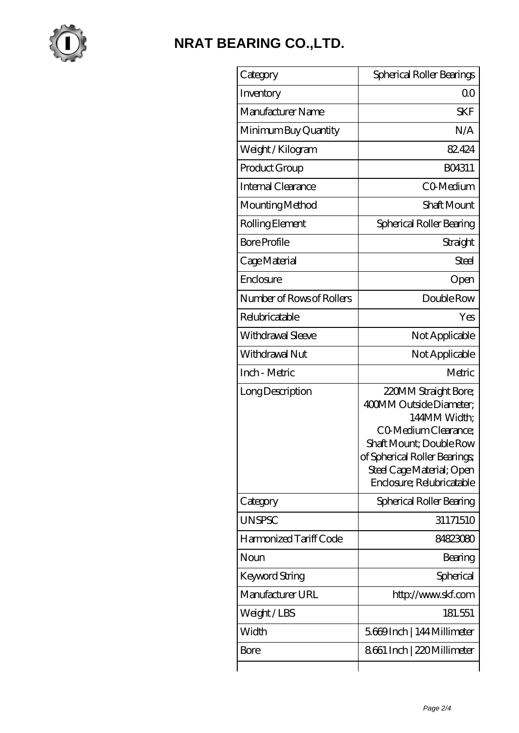

| Category                  | Spherical Roller Bearings                                                                                                                                                                                     |
|---------------------------|---------------------------------------------------------------------------------------------------------------------------------------------------------------------------------------------------------------|
| Inventory                 | Q0                                                                                                                                                                                                            |
| Manufacturer Name         | <b>SKF</b>                                                                                                                                                                                                    |
| Minimum Buy Quantity      | N/A                                                                                                                                                                                                           |
| Weight/Kilogram           | 82.424                                                                                                                                                                                                        |
| Product Group             | BO4311                                                                                                                                                                                                        |
| Internal Clearance        | CO-Medium                                                                                                                                                                                                     |
| Mounting Method           | Shaft Mount                                                                                                                                                                                                   |
| Rolling Element           | Spherical Roller Bearing                                                                                                                                                                                      |
| <b>Bore Profile</b>       | Straight                                                                                                                                                                                                      |
| Cage Material             | <b>Steel</b>                                                                                                                                                                                                  |
| Enclosure                 | Open                                                                                                                                                                                                          |
| Number of Rows of Rollers | Double Row                                                                                                                                                                                                    |
| Relubricatable            | Yes                                                                                                                                                                                                           |
| Withdrawal Sleeve         | Not Applicable                                                                                                                                                                                                |
| Withdrawal Nut            | Not Applicable                                                                                                                                                                                                |
| Inch - Metric             | Metric                                                                                                                                                                                                        |
| Long Description          | 220MM Straight Bore;<br>400MM Outside Diameter;<br>144MM Width;<br>CO Medium Clearance;<br>Shaft Mount; Double Row<br>of Spherical Roller Bearings;<br>Steel Cage Material; Open<br>Enclosure; Relubricatable |
| Category                  | Spherical Roller Bearing                                                                                                                                                                                      |
| <b>UNSPSC</b>             | 31171510                                                                                                                                                                                                      |
| Harmonized Tariff Code    | 84823080                                                                                                                                                                                                      |
| Noun                      | Bearing                                                                                                                                                                                                       |
| Keyword String            | Spherical                                                                                                                                                                                                     |
| Manufacturer URL          | http://www.skf.com                                                                                                                                                                                            |
| Weight/LBS                | 181.551                                                                                                                                                                                                       |
| Width                     | 5.669 Inch   144 Millimeter                                                                                                                                                                                   |
| Bore                      | 8661 Inch   220 Millimeter                                                                                                                                                                                    |
|                           |                                                                                                                                                                                                               |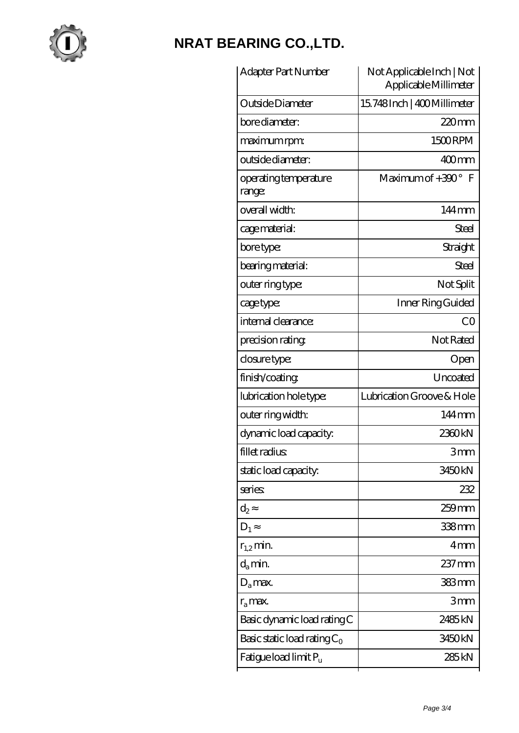

| Adapter Part Number               | Not Applicable Inch   Not<br>Applicable Millimeter |
|-----------------------------------|----------------------------------------------------|
| Outside Diameter                  | 15.748 Inch   400 Millimeter                       |
| bore diameter:                    | $220$ mm                                           |
| maximum rpm:                      | 1500RPM                                            |
| outside diameter:                 | 400mm                                              |
| operating temperature<br>range:   | Maximum of $+300^{\circ}$ F                        |
| overall width:                    | 144mm                                              |
| cage material:                    | <b>Steel</b>                                       |
| bore type:                        | Straight                                           |
| bearing material:                 | Steel                                              |
| outer ring type:                  | Not Split                                          |
| cage type:                        | Inner Ring Guided                                  |
| internal clearance:               | CO                                                 |
| precision rating                  | Not Rated                                          |
| closure type:                     | Open                                               |
| finish/coating                    | Uncoated                                           |
| lubrication hole type:            | Lubrication Groove & Hole                          |
| outer ring width:                 | 144mm                                              |
| dynamic load capacity:            | 2360kN                                             |
| fillet radius                     | 3mm                                                |
| static load capacity.             | 3450 <sub>kN</sub>                                 |
| series                            | 232                                                |
| $\mathrm{d}_2$                    | $259$ mm                                           |
| $D_1$                             | 338mm                                              |
| $r_{1,2}$ min.                    | 4 <sub>mm</sub>                                    |
| $d_{a}$ min.                      | 237 mm                                             |
| $D_a$ max.                        | 383mm                                              |
| $r_a$ max.                        | 3mm                                                |
| Basic dynamic load rating C       | 2485 <sub>kN</sub>                                 |
| Basic static load rating $C_0$    | 3450kN                                             |
| Fatigue load limit P <sub>u</sub> | 285 <sub>kN</sub>                                  |
|                                   |                                                    |